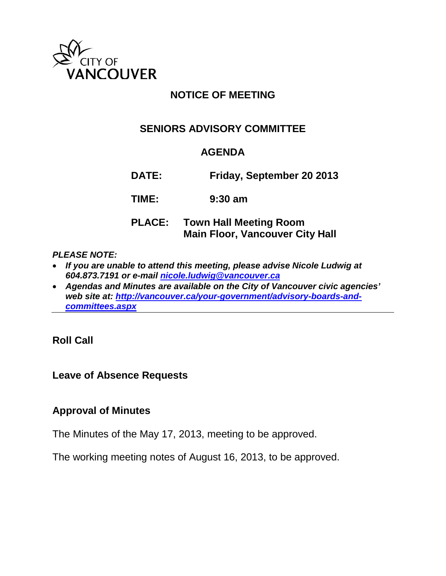

# **NOTICE OF MEETING**

# **SENIORS ADVISORY COMMITTEE**

# **AGENDA**

**DATE: Friday, September 20 2013**

**TIME: 9:30 am**

# **PLACE: Town Hall Meeting Room Main Floor, Vancouver City Hall**

#### *PLEASE NOTE:*

- *If you are unable to attend this meeting, please advise Nicole Ludwig at 604.873.7191 or e-mail [nicole.ludwig@vancouver.ca](mailto:nicole.ludwig@vancouver.ca)*
- *Agendas and Minutes are available on the City of Vancouver civic agencies' web site at: [http://vancouver.ca/your-government/advisory-boards-and](http://vancouver.ca/your-government/advisory-boards-and-committees.aspx)[committees.aspx](http://vancouver.ca/your-government/advisory-boards-and-committees.aspx)*

**Roll Call**

# **Leave of Absence Requests**

# **Approval of Minutes**

The Minutes of the May 17, 2013, meeting to be approved.

The working meeting notes of August 16, 2013, to be approved.